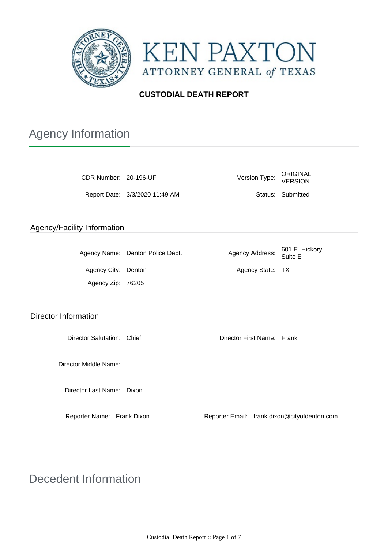

**KEN PAXTON** ATTORNEY GENERAL of TEXAS

## **CUSTODIAL DEATH REPORT**

# Agency Information

| CDR Number: 20-196-UF       |                                  | Version Type:              |                 | ORIGINAL<br><b>VERSION</b>                   |  |
|-----------------------------|----------------------------------|----------------------------|-----------------|----------------------------------------------|--|
|                             | Report Date: 3/3/2020 11:49 AM   |                            |                 | Status: Submitted                            |  |
| Agency/Facility Information |                                  |                            |                 |                                              |  |
|                             |                                  |                            |                 |                                              |  |
|                             | Agency Name: Denton Police Dept. |                            | Agency Address: | 601 E. Hickory,<br>Suite E                   |  |
| Agency City: Denton         |                                  | Agency State: TX           |                 |                                              |  |
| Agency Zip: 76205           |                                  |                            |                 |                                              |  |
|                             |                                  |                            |                 |                                              |  |
| <b>Director Information</b> |                                  |                            |                 |                                              |  |
| Director Salutation: Chief  |                                  | Director First Name: Frank |                 |                                              |  |
| Director Middle Name:       |                                  |                            |                 |                                              |  |
| Director Last Name: Dixon   |                                  |                            |                 |                                              |  |
| Reporter Name: Frank Dixon  |                                  |                            |                 | Reporter Email: frank.dixon@cityofdenton.com |  |

# Decedent Information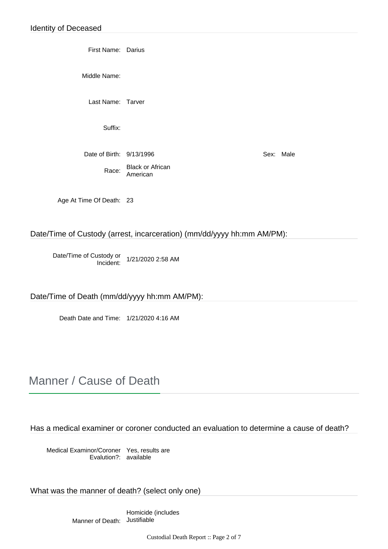First Name: Darius

Middle Name:

Last Name: Tarver

Suffix:

Date of Birth:  $9/13/1996$  Sex: Male

Race: Black or African American

Age At Time Of Death: 23

Date/Time of Custody (arrest, incarceration) (mm/dd/yyyy hh:mm AM/PM):

Date/Time of Custody or Incident: 1/21/2020 2:58 AM

Date/Time of Death (mm/dd/yyyy hh:mm AM/PM):

Death Date and Time: 1/21/2020 4:16 AM

## Manner / Cause of Death

Has a medical examiner or coroner conducted an evaluation to determine a cause of death?

Medical Examinor/Coroner Evalution?: Yes, results are available

What was the manner of death? (select only one)

Manner of Death: JustifiableHomicide (includes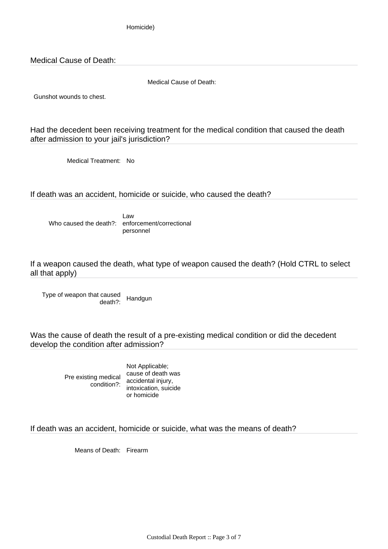Homicide)

Medical Cause of Death:

Medical Cause of Death:

Gunshot wounds to chest.

Had the decedent been receiving treatment for the medical condition that caused the death after admission to your jail's jurisdiction?

Medical Treatment: No

If death was an accident, homicide or suicide, who caused the death?

Who caused the death?: enforcement/correctional Law personnel

If a weapon caused the death, what type of weapon caused the death? (Hold CTRL to select all that apply)

Type of weapon that caused death?: Handgun

Was the cause of death the result of a pre-existing medical condition or did the decedent develop the condition after admission?

Pre existing medical cause of death was

condition?: intoxication, suicide Not Applicable; accidental injury, or homicide

If death was an accident, homicide or suicide, what was the means of death?

Means of Death: Firearm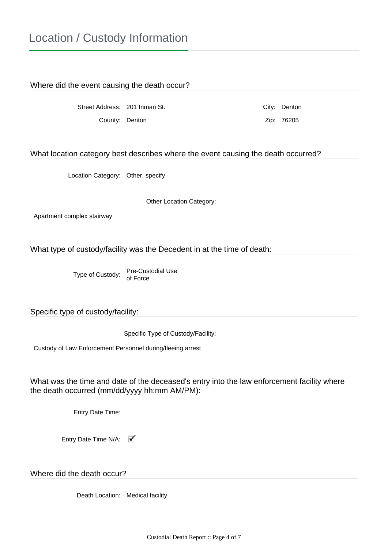## Location / Custody Information

Where did the event causing the death occur?

Street Address: 201 Inman St. City: Denton County: Denton Zip: 76205

What location category best describes where the event causing the death occurred?

Location Category: Other, specify

Other Location Category:

Apartment complex stairway

What type of custody/facility was the Decedent in at the time of death:

Type of Custody: Pre-Custodial Use of Force

Specific type of custody/facility:

Specific Type of Custody/Facility:

Custody of Law Enforcement Personnel during/fleeing arrest

What was the time and date of the deceased's entry into the law enforcement facility where the death occurred (mm/dd/yyyy hh:mm AM/PM):

Entry Date Time:

Entry Date Time N/A:

Where did the death occur?

Death Location: Medical facility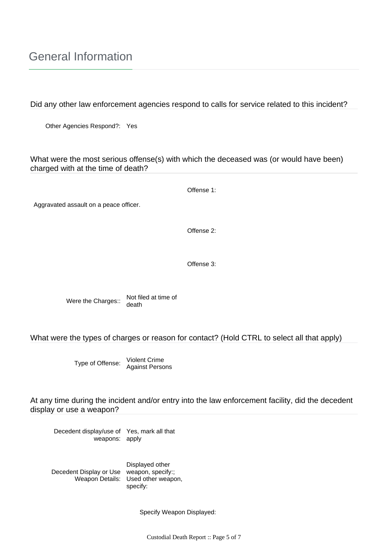## General Information

Did any other law enforcement agencies respond to calls for service related to this incident?

Other Agencies Respond?: Yes

## What were the most serious offense(s) with which the deceased was (or would have been) charged with at the time of death?

Offense 1:

Aggravated assault on a peace officer.

Offense 2:

Offense 3:

Were the Charges:: Not filed at time of death

What were the types of charges or reason for contact? (Hold CTRL to select all that apply)

Type of Offense: Violent Crime Against Persons

At any time during the incident and/or entry into the law enforcement facility, did the decedent display or use a weapon?

Decedent display/use of weapons: Yes, mark all that apply

Decedent Display or Use Weapon Details: Displayed other weapon, specify:; Used other weapon, specify:

Specify Weapon Displayed: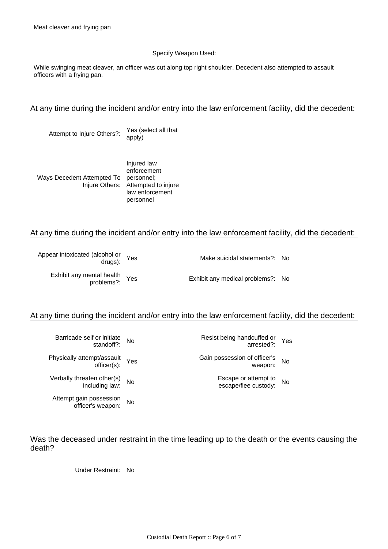#### Specify Weapon Used:

While swinging meat cleaver, an officer was cut along top right shoulder. Decedent also attempted to assault officers with a frying pan.

### At any time during the incident and/or entry into the law enforcement facility, did the decedent:

Attempt to Injure Others?: Yes (select all that apply)

Ways Decedent Attempted To personnel; Injure Others: Attempted to injure Injured law enforcement law enforcement personnel

### At any time during the incident and/or entry into the law enforcement facility, did the decedent:

| Appear intoxicated (alcohol or Yes<br>drugs): | Make suicidal statements?: No     |  |
|-----------------------------------------------|-----------------------------------|--|
| Exhibit any mental health<br>problems?: Yes   | Exhibit any medical problems?: No |  |

## At any time during the incident and/or entry into the law enforcement facility, did the decedent:

| Yes       | Resist being handcuffed or<br>:errested?     | No  | Barricade self or initiate<br>: standoff?    |  |
|-----------|----------------------------------------------|-----|----------------------------------------------|--|
| <b>No</b> | Gain possession of officer's<br>:weapon      | Yes | Physically attempt/assault<br>officer(s):    |  |
| <b>No</b> | Escape or attempt to<br>escape/flee custody: | No  | Verbally threaten other(s)<br>:including law |  |
|           |                                              | No  | Attempt gain possession<br>officer's weapon: |  |

Was the deceased under restraint in the time leading up to the death or the events causing the death?

Under Restraint: No